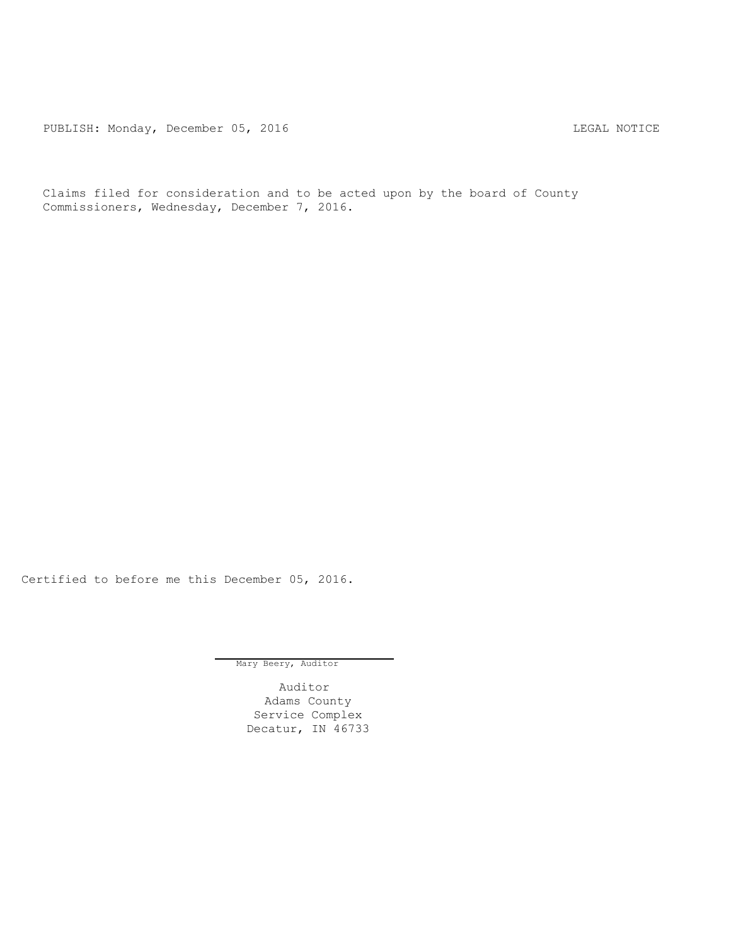PUBLISH: Monday, December 05, 2016 CHA CHANGE CONTROLLING MOTICE

Claims filed for consideration and to be acted upon by the board of County Commissioners, Wednesday, December 7, 2016.

Certified to before me this December 05, 2016.

Mary Beery, Auditor

Auditor Adams County Service Complex Decatur, IN 46733